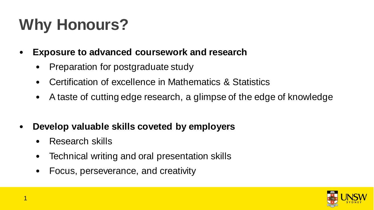# **Why Honours?**

- **Exposure to advanced coursework and research** 
	- Preparation for postgraduate study
	- Certification of excellence in Mathematics & Statistics
	- A taste of cutting edge research, a glimpse of the edge of knowledge
- **Develop valuable skills coveted by employers**
	- Research skills
	- Technical writing and oral presentation skills
	- Focus, perseverance, and creativity

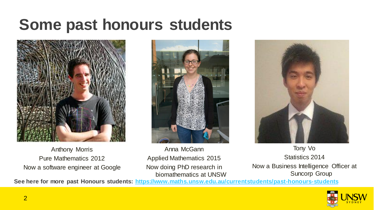### **Some past honours students**



Anthony Morris Pure Mathematics 2012 Now a software engineer at Google





Anna McGann Applied Mathematics 2015 Now doing PhD research in biomathematics at UNSW

Tony Vo Statistics 2014 Now a Business Intelligence Officer at Suncorp Group

**See here for more past Honours students: <https://www.maths.unsw.edu.au/currentstudents/past-honours-students>**

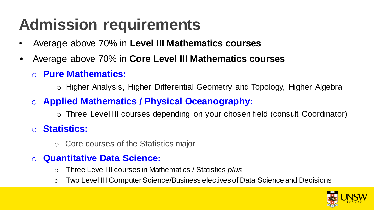## **Admission requirements**

- Average above 70% in **Level III Mathematics courses**
- Average above 70% in **Core Level III Mathematics courses**
	- o **Pure Mathematics:**

o Higher Analysis, Higher Differential Geometry and Topology, Higher Algebra

o **Applied Mathematics / Physical Oceanography:**

o Three Level III courses depending on your chosen field (consult Coordinator)

#### o **Statistics:**

o Core courses of the Statistics major

#### o **Quantitative Data Science:**

- o Three Level III courses in Mathematics / Statistics *plus*
- o Two Level III Computer Science/Business electives of Data Science and Decisions

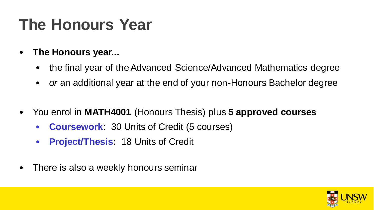## **The Honours Year**

- **The Honours year...** 
	- the final year of the Advanced Science/Advanced Mathematics degree
	- *or* an additional year at the end of your non-Honours Bachelor degree
- You enrol in **MATH4001** (Honours Thesis) plus **5 approved courses**
	- **Coursework**: 30 Units of Credit (5 courses)
	- **Project/Thesis:** 18 Units of Credit
- There is also a weekly honours seminar

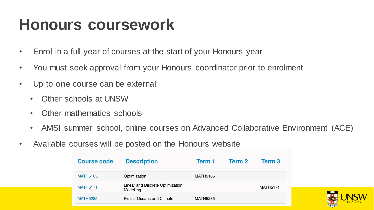### **Honours coursework**

- Enrol in a full year of courses at the start of your Honours year
- You must seek approval from your Honours coordinator prior to enrolment
- Up to **one** course can be external:
	- Other schools at UNSW
	- Other mathematics schools
	- AMSI summer school, online courses on Advanced Collaborative Environment (ACE)
- Available courses will be posted on the Honours website

| Course code     | <b>Description</b>                            | Term 1          | Term 2 | Term 3          |
|-----------------|-----------------------------------------------|-----------------|--------|-----------------|
| <b>MATH5165</b> | Optimization                                  | MATH5165        |        |                 |
| <b>MATH5171</b> | Linear and Discrete Optimization<br>Modelling |                 |        | <b>MATH5171</b> |
| <b>MATH5285</b> | Fluids, Oceans and Climate                    | <b>MATH5285</b> |        |                 |

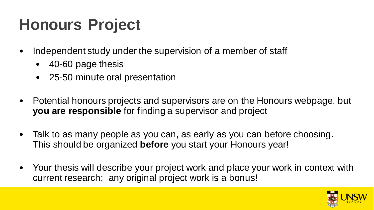## **Honours Project**

- Independent study under the supervision of a member of staff
	- 40-60 page thesis
	- 25-50 minute oral presentation
- Potential honours projects and supervisors are on the Honours webpage, but **you are responsible** for finding a supervisor and project
- Talk to as many people as you can, as early as you can before choosing. This should be organized **before** you start your Honours year!
- Your thesis will describe your project work and place your work in context with current research; any original project work is a bonus!

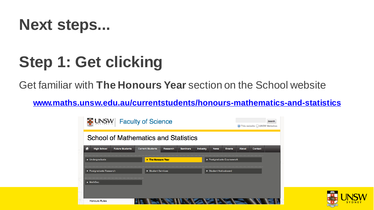

## **Step 1: Get clicking**

Get familiar with **The Honours Year** section on the School website

**www.maths.unsw.edu.au/currentstudents/honours-mathematics-and-statistics** 

| <b>UNSW</b><br><b>Faculty of Science</b>                  |                         |                  |                 |                           |                       |               |              | Search<br>● This website ● UNSW Websites |  |  |  |
|-----------------------------------------------------------|-------------------------|------------------|-----------------|---------------------------|-----------------------|---------------|--------------|------------------------------------------|--|--|--|
| <b>School of Mathematics and Statistics</b>               |                         |                  |                 |                           |                       |               |              |                                          |  |  |  |
| <b>High School</b><br><b>Future Students</b><br>m         | <b>Current Students</b> | <b>Research</b>  | <b>Seminars</b> | Industry                  | <b>News</b>           | <b>Events</b> | <b>About</b> | <b>Contact</b>                           |  |  |  |
| > The Honours Year<br>$\blacktriangleright$ Undergraduate |                         |                  |                 | ▶ Postgraduate Coursework |                       |               |              |                                          |  |  |  |
| ▶ Postgraduate Research                                   |                         | Student Services |                 |                           | ▶ Student Noticeboard |               |              |                                          |  |  |  |
| $\blacktriangleright$ MathSoc                             |                         |                  |                 |                           |                       |               |              |                                          |  |  |  |
|                                                           |                         |                  |                 |                           |                       |               |              |                                          |  |  |  |
| <b>Honours Rules</b>                                      |                         |                  |                 |                           |                       |               |              |                                          |  |  |  |

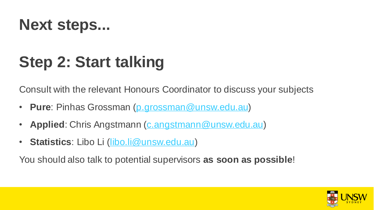

## **Step 2: Start talking**

Consult with the relevant Honours Coordinator to discuss your subjects

- **Pure**: Pinhas Grossman ([p.grossman@unsw.edu.au\)](mailto:c.greenhill@unsw.edu.au)
- **Applied**: Chris Angstmann [\(c.angstmann@unsw.edu.au\)](mailto:s.keating@unsw.edu.au)
- **Statistics**: Libo Li ([libo.li@unsw.edu.au\)](mailto:s.keating@unsw.edu.au)

You should also talk to potential supervisors **as soon as possible**!